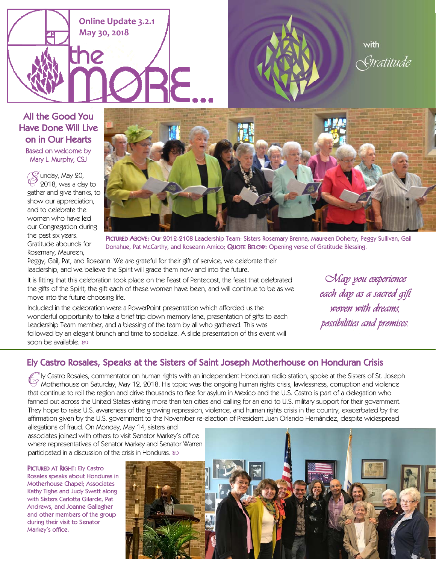





All the Good You Have Done Will Live on in Our Hearts Based on welcome by Mary L. Murphy, CSJ

> $\mathscr{\widehat{S}}$  unday, May 20, 2018, was a day to gather and give thanks, to show our appreciation, and to celebrate the women who have led our Congregation during the past six years. Gratitude abounds for Rosemary, Maureen,



PICTURED ABOVE: Our 2012-2108 Leadership Team: Sisters Rosemary Brenna, Maureen Doherty, Peggy Sullivan, Gail Donahue, Pat McCarthy, and Roseann Amico; QUOTE BELOW: Opening verse of Gratitude Blessing.

Peggy, Gail, Pat, and Roseann. We are grateful for their gift of service, we celebrate their leadership, and we believe the Spirit will grace them now and into the future.

It is fitting that this celebration took place on the Feast of Pentecost, the feast that celebrated the gifts of the Spirit, the gift each of these women have been, and will continue to be as we move into the future choosing life.

Included in the celebration were a PowerPoint presentation which afforded us the wonderful opportunity to take a brief trip down memory lane, presentation of gifts to each Leadership Team member, and a blessing of the team by all who gathered. This was followed by an elegant brunch and time to socialize. A slide presentation of this event will soon be available. &

*May you experience each day as a sacred gift woven with dreams, possibilities and promises.* 

## Ely Castro Rosales, Speaks at the Sisters of Saint Joseph Motherhouse on Honduran Crisis

 $\mathscr{C}$  ly Castro Rosales, commentator on human rights with an independent Honduran radio station, spoke at the Sisters of St. Joseph Motherhouse on Saturday, May 12, 2018. His topic was the ongoing human rights crisis, that continue to roil the region and drive thousands to flee for asylum in Mexico and the U.S. Castro is part of a delegation who fanned out across the United States visiting more than ten cities and calling for an end to U.S. military support for their government. They hope to raise U.S. awareness of the growing repression, violence, and human rights crisis in the country, exacerbated by the affirmation given by the U.S. government to the November re-election of President Juan Orlando Hernández, despite widespread allegations of fraud. On Monday, May 14, sisters and

associates joined with others to visit Senator Markey's office where representatives of Senator Markey and Senator Warren participated in a discussion of the crisis in Honduras.  $\infty$ 

## PICTURED AT RIGHT: Ely Castro

Rosales speaks about Honduras in Motherhouse Chapel; Associates Kathy Tighe and Judy Swett along with Sisters Carlotta Gilarde, Pat Andrews, and Joanne Gallagher and other members of the group during their visit to Senator Markey's office.